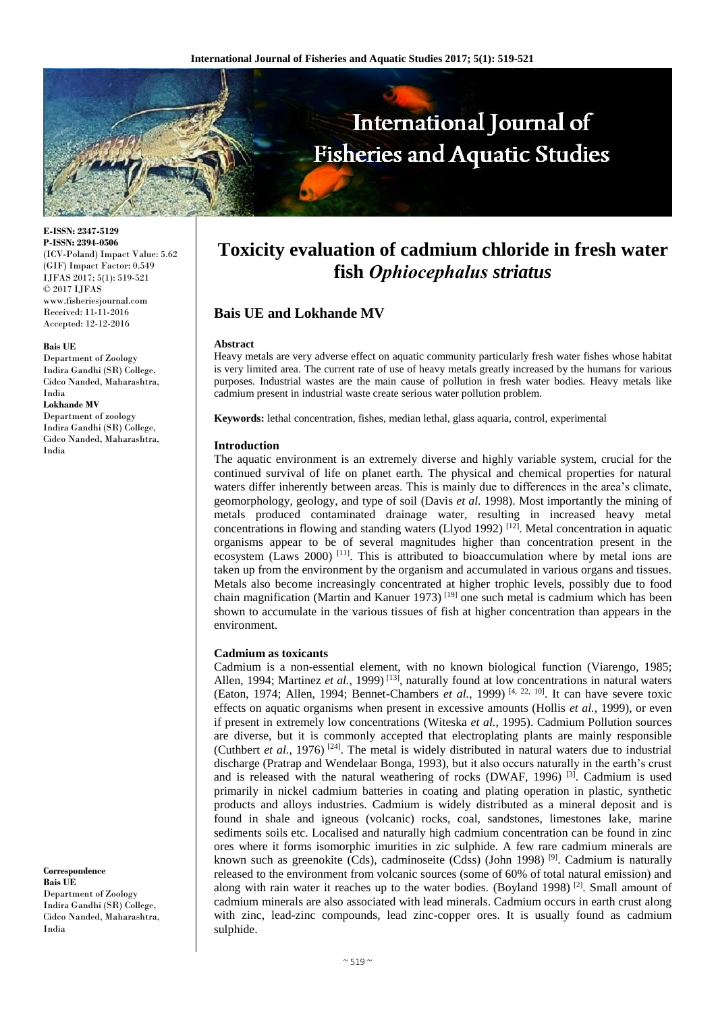

**E-ISSN: 2347-5129 P-ISSN: 2394-0506**  (ICV-Poland) Impact Value: 5.62 (GIF) Impact Factor: 0.549 IJFAS 2017; 5(1): 519-521 © 2017 IJFAS www.fisheriesjournal.com Received: 11-11-2016 Accepted: 12-12-2016

#### **Bais UE**

India

Department of Zoology Indira Gandhi (SR) College, Cidco Nanded, Maharashtra, India **Lokhande MV**  Department of zoology Indira Gandhi (SR) College,

Cidco Nanded, Maharashtra,

**Correspondence Bais UE**  Department of Zoology Indira Gandhi (SR) College, Cidco Nanded, Maharashtra, India

# **Toxicity evaluation of cadmium chloride in fresh water fish** *Ophiocephalus striatus*

# **Bais UE and Lokhande MV**

#### **Abstract**

Heavy metals are very adverse effect on aquatic community particularly fresh water fishes whose habitat is very limited area. The current rate of use of heavy metals greatly increased by the humans for various purposes. Industrial wastes are the main cause of pollution in fresh water bodies. Heavy metals like cadmium present in industrial waste create serious water pollution problem.

**Keywords:** lethal concentration, fishes, median lethal, glass aquaria, control, experimental

#### **Introduction**

The aquatic environment is an extremely diverse and highly variable system, crucial for the continued survival of life on planet earth. The physical and chemical properties for natural waters differ inherently between areas. This is mainly due to differences in the area's climate, geomorphology, geology, and type of soil (Davis *et al*. 1998). Most importantly the mining of metals produced contaminated drainage water, resulting in increased heavy metal concentrations in flowing and standing waters (Llyod 1992)<sup>[12]</sup>. Metal concentration in aquatic organisms appear to be of several magnitudes higher than concentration present in the ecosystem (Laws 2000)  $\left[11\right]$ . This is attributed to bioaccumulation where by metal ions are taken up from the environment by the organism and accumulated in various organs and tissues. Metals also become increasingly concentrated at higher trophic levels, possibly due to food chain magnification (Martin and Kanuer 1973) [19] one such metal is cadmium which has been shown to accumulate in the various tissues of fish at higher concentration than appears in the environment.

#### **Cadmium as toxicants**

Cadmium is a non-essential element, with no known biological function (Viarengo, 1985; Allen, 1994; Martinez *et al.*, 1999)<sup>[13]</sup>, naturally found at low concentrations in natural waters (Eaton, 1974; Allen, 1994; Bennet-Chambers *et al.*, 1999) [4, 22, 10]. It can have severe toxic effects on aquatic organisms when present in excessive amounts (Hollis *et al.*, 1999), or even if present in extremely low concentrations (Witeska *et al.*, 1995). Cadmium Pollution sources are diverse, but it is commonly accepted that electroplating plants are mainly responsible (Cuthbert *et al.*, 1976)<sup>[24]</sup>. The metal is widely distributed in natural waters due to industrial discharge (Pratrap and Wendelaar Bonga, 1993), but it also occurs naturally in the earth's crust and is released with the natural weathering of rocks (DWAF, 1996)  $^{[3]}$ . Cadmium is used primarily in nickel cadmium batteries in coating and plating operation in plastic, synthetic products and alloys industries. Cadmium is widely distributed as a mineral deposit and is found in shale and igneous (volcanic) rocks, coal, sandstones, limestones lake, marine sediments soils etc. Localised and naturally high cadmium concentration can be found in zinc ores where it forms isomorphic imurities in zic sulphide. A few rare cadmium minerals are known such as greenokite (Cds), cadminoseite (Cdss) (John 1998) [9]. Cadmium is naturally released to the environment from volcanic sources (some of 60% of total natural emission) and along with rain water it reaches up to the water bodies. (Boyland 1998)<sup>[2]</sup>. Small amount of cadmium minerals are also associated with lead minerals. Cadmium occurs in earth crust along with zinc, lead-zinc compounds, lead zinc-copper ores. It is usually found as cadmium sulphide.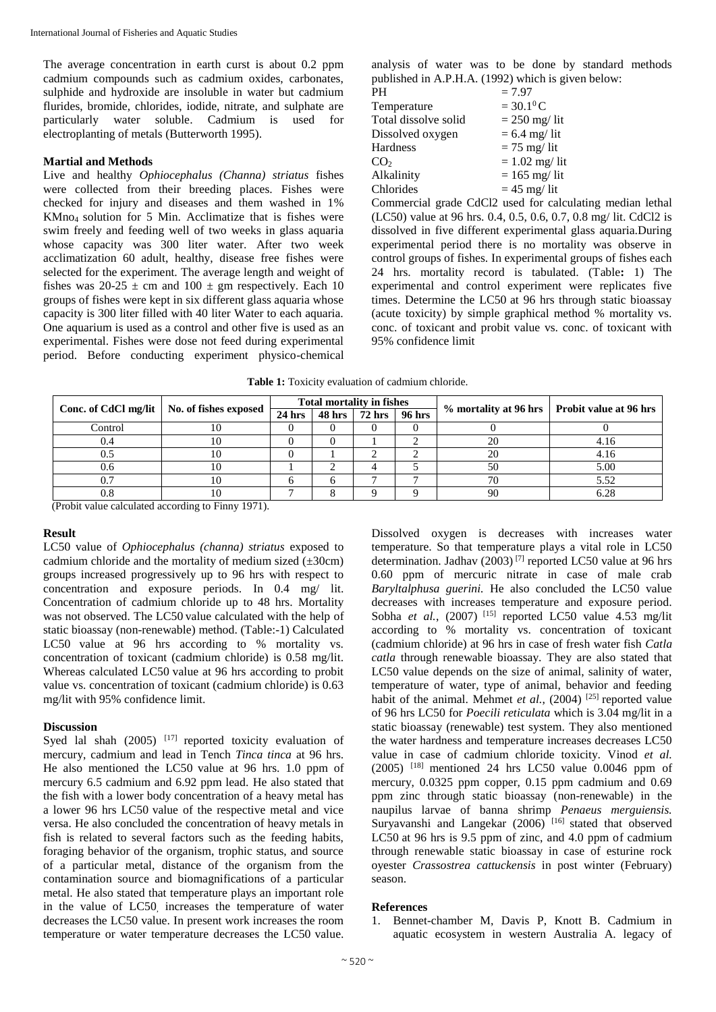The average concentration in earth curst is about 0.2 ppm cadmium compounds such as cadmium oxides, carbonates, sulphide and hydroxide are insoluble in water but cadmium flurides, bromide, chlorides, iodide, nitrate, and sulphate are particularly water soluble. Cadmium is used for electroplanting of metals (Butterworth 1995).

## **Martial and Methods**

Live and healthy *Ophiocephalus (Channa) striatus* fishes were collected from their breeding places. Fishes were checked for injury and diseases and them washed in 1% KMno<sup>4</sup> solution for 5 Min. Acclimatize that is fishes were swim freely and feeding well of two weeks in glass aquaria whose capacity was 300 liter water. After two week acclimatization 60 adult, healthy, disease free fishes were selected for the experiment. The average length and weight of fishes was  $20-25 \pm \text{cm}$  and  $100 \pm \text{gm}$  respectively. Each 10 groups of fishes were kept in six different glass aquaria whose capacity is 300 liter filled with 40 liter Water to each aquaria. One aquarium is used as a control and other five is used as an experimental. Fishes were dose not feed during experimental period. Before conducting experiment physico-chemical

analysis of water was to be done by standard methods published in A.P.H.A. (1992) which is given below:

| <b>PH</b>            | $= 7.97$         |
|----------------------|------------------|
| Temperature          | $= 30.1^{0}C$    |
| Total dissolve solid | $= 250$ mg/ lit  |
| Dissolved oxygen     | $= 6.4$ mg/ lit  |
| Hardness             | $= 75$ mg/ lit   |
| CO <sub>2</sub>      | $= 1.02$ mg/ lit |
| Alkalinity           | $= 165$ mg/ lit  |
| Chlorides            | $= 45$ mg/ lit   |

Commercial grade CdCl2 used for calculating median lethal (LC50) value at 96 hrs. 0.4, 0.5, 0.6, 0.7, 0.8 mg/ lit. CdCl2 is dissolved in five different experimental glass aquaria.During experimental period there is no mortality was observe in control groups of fishes. In experimental groups of fishes each 24 hrs. mortality record is tabulated. (Table**:** 1) The experimental and control experiment were replicates five times. Determine the LC50 at 96 hrs through static bioassay (acute toxicity) by simple graphical method % mortality vs. conc. of toxicant and probit value vs. conc. of toxicant with 95% confidence limit

**Table 1:** Toxicity evaluation of cadmium chloride.

|         | Conc. of CdCl mg/lit   No. of fishes exposed | <b>Total mortality in fishes</b> |  |                          |  | % mortality at 96 hrs   Probit value at 96 hrs |      |
|---------|----------------------------------------------|----------------------------------|--|--------------------------|--|------------------------------------------------|------|
|         |                                              | $24$ hrs                         |  | 48 hrs   72 hrs   96 hrs |  |                                                |      |
| Control | ΙU                                           |                                  |  |                          |  |                                                |      |
| 0.4     | 10                                           |                                  |  |                          |  | 20                                             | 4.16 |
|         | 10                                           |                                  |  |                          |  | 20                                             | 4.16 |
| 0.6     | ιv                                           |                                  |  |                          |  | 50                                             | 5.00 |
|         |                                              |                                  |  |                          |  |                                                | 5.52 |
|         |                                              |                                  |  |                          |  | 90                                             | 6.28 |

(Probit value calculated according to Finny 1971).

# **Result**

LC50 value of *Ophiocephalus (channa) striatus* exposed to cadmium chloride and the mortality of medium sized  $(\pm 30 \text{cm})$ groups increased progressively up to 96 hrs with respect to concentration and exposure periods. In 0.4 mg/ lit. Concentration of cadmium chloride up to 48 hrs. Mortality was not observed. The LC50 value calculated with the help of static bioassay (non-renewable) method. (Table:-1) Calculated LC50 value at 96 hrs according to % mortality vs. concentration of toxicant (cadmium chloride) is 0.58 mg/lit. Whereas calculated LC50 value at 96 hrs according to probit value vs. concentration of toxicant (cadmium chloride) is 0.63 mg/lit with 95% confidence limit.

#### **Discussion**

Syed lal shah (2005)  $[17]$  reported toxicity evaluation of mercury, cadmium and lead in Tench *Tinca tinca* at 96 hrs. He also mentioned the LC50 value at 96 hrs. 1.0 ppm of mercury 6.5 cadmium and 6.92 ppm lead. He also stated that the fish with a lower body concentration of a heavy metal has a lower 96 hrs LC50 value of the respective metal and vice versa. He also concluded the concentration of heavy metals in fish is related to several factors such as the feeding habits, foraging behavior of the organism, trophic status, and source of a particular metal, distance of the organism from the contamination source and biomagnifications of a particular metal. He also stated that temperature plays an important role in the value of LC50, increases the temperature of water decreases the LC50 value. In present work increases the room temperature or water temperature decreases the LC50 value.

Dissolved oxygen is decreases with increases water temperature. So that temperature plays a vital role in LC50 determination. Jadhav (2003)<sup>[7]</sup> reported LC50 value at 96 hrs 0.60 ppm of mercuric nitrate in case of male crab *Baryltalphusa guerini.* He also concluded the LC50 value decreases with increases temperature and exposure period. Sobha *et al.*, (2007) <sup>[15]</sup> reported LC50 value 4.53 mg/lit according to % mortality vs. concentration of toxicant (cadmium chloride) at 96 hrs in case of fresh water fish *Catla catla* through renewable bioassay. They are also stated that LC50 value depends on the size of animal, salinity of water, temperature of water, type of animal, behavior and feeding habit of the animal. Mehmet *et al.*,  $(2004)$ <sup>[25]</sup> reported value of 96 hrs LC50 for *Poecili reticulata* which is 3.04 mg/lit in a static bioassay (renewable) test system. They also mentioned the water hardness and temperature increases decreases LC50 value in case of cadmium chloride toxicity. Vinod *et al.*  $(2005)$  <sup>[18]</sup> mentioned 24 hrs LC50 value 0.0046 ppm of mercury, 0.0325 ppm copper, 0.15 ppm cadmium and 0.69 ppm zinc through static bioassay (non-renewable) in the naupilus larvae of banna shrimp *Penaeus merguiensis.*  Suryavanshi and Langekar (2006)<sup>[16]</sup> stated that observed LC50 at 96 hrs is 9.5 ppm of zinc, and 4.0 ppm of cadmium through renewable static bioassay in case of esturine rock oyester *Crassostrea cattuckensis* in post winter (February) season.

# **References**

1. Bennet-chamber M, Davis P, Knott B. Cadmium in aquatic ecosystem in western Australia A. legacy of